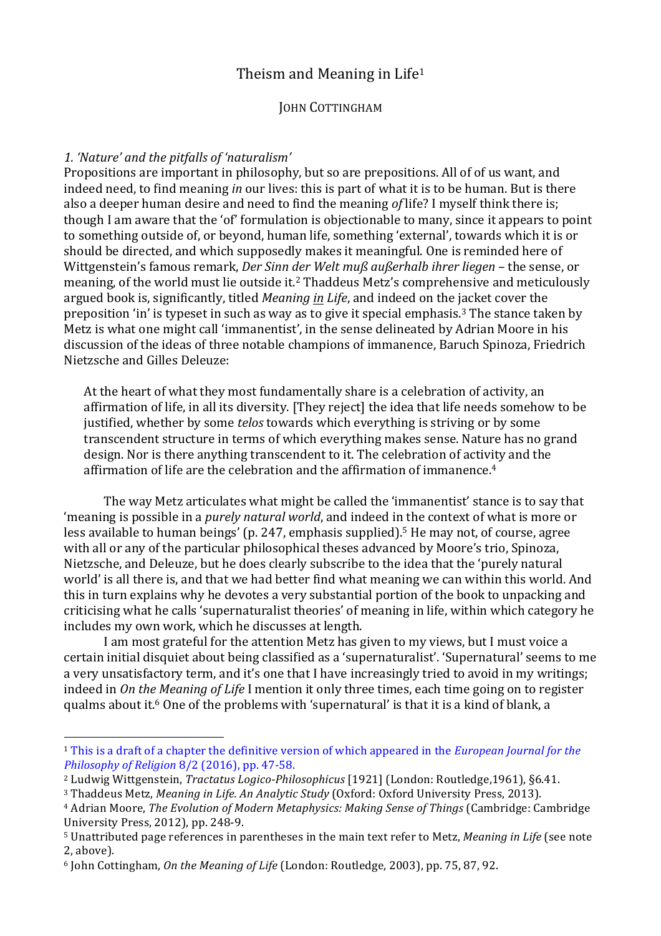# Theism and Meaning in Life<sup>1</sup>

## **JOHN COTTINGHAM**

## *1. 'Nature' and the pitfalls of 'naturalism'*

 

Propositions are important in philosophy, but so are prepositions. All of of us want, and indeed need, to find meaning *in* our lives: this is part of what it is to be human. But is there also a deeper human desire and need to find the meaning of life? I myself think there is; though I am aware that the 'of' formulation is objectionable to many, since it appears to point to something outside of, or beyond, human life, something 'external', towards which it is or should be directed, and which supposedly makes it meaningful. One is reminded here of Wittgenstein's famous remark, *Der Sinn der Welt muß außerhalb ihrer liegen* – the sense, or meaning, of the world must lie outside it.<sup>2</sup> Thaddeus Metz's comprehensive and meticulously argued book is, significantly, titled *Meaning in Life*, and indeed on the jacket cover the preposition 'in' is typeset in such as way as to give it special emphasis.<sup>3</sup> The stance taken by Metz is what one might call 'immanentist', in the sense delineated by Adrian Moore in his discussion of the ideas of three notable champions of immanence, Baruch Spinoza, Friedrich Nietzsche and Gilles Deleuze:

At the heart of what they most fundamentally share is a celebration of activity, an affirmation of life, in all its diversity. [They reject] the idea that life needs somehow to be justified, whether by some *telos* towards which everything is striving or by some transcendent structure in terms of which everything makes sense. Nature has no grand design. Nor is there anything transcendent to it. The celebration of activity and the affirmation of life are the celebration and the affirmation of immanence.<sup>4</sup>

The way Metz articulates what might be called the 'immanentist' stance is to say that 'meaning is possible in a *purely natural world*, and indeed in the context of what is more or less available to human beings' (p. 247, emphasis supplied).<sup>5</sup> He may not, of course, agree with all or any of the particular philosophical theses advanced by Moore's trio, Spinoza, Nietzsche, and Deleuze, but he does clearly subscribe to the idea that the 'purely natural world' is all there is, and that we had better find what meaning we can within this world. And this in turn explains why he devotes a very substantial portion of the book to unpacking and criticising what he calls 'supernaturalist theories' of meaning in life, within which category he includes my own work, which he discusses at length.

I am most grateful for the attention Metz has given to my views, but I must voice a certain initial disquiet about being classified as a 'supernaturalist'. 'Supernatural' seems to me a very unsatisfactory term, and it's one that I have increasingly tried to avoid in my writings; indeed in *On the Meaning of Life* I mention it only three times, each time going on to register qualms about it.<sup>6</sup> One of the problems with 'supernatural' is that it is a kind of blank, a

<sup>&</sup>lt;sup>1</sup> This is a draft of a chapter the definitive version of which appeared in the *European Journal for the Philosophy of Religion* 8/2 (2016), pp. 47-58.

<sup>&</sup>lt;sup>2</sup> Ludwig Wittgenstein, *Tractatus Logico-Philosophicus* [1921] (London: Routledge,1961), §6.41.

<sup>&</sup>lt;sup>3</sup> Thaddeus Metz, *Meaning in Life. An Analytic Study* (Oxford: Oxford University Press, 2013).

<sup>&</sup>lt;sup>4</sup> Adrian Moore, *The Evolution of Modern Metaphysics: Making Sense of Things* (Cambridge: Cambridge University Press, 2012), pp. 248-9.

<sup>&</sup>lt;sup>5</sup> Unattributed page references in parentheses in the main text refer to Metz, *Meaning in Life* (see note 2, above).

<sup>&</sup>lt;sup>6</sup> John Cottingham, *On the Meaning of Life* (London: Routledge, 2003), pp. 75, 87, 92.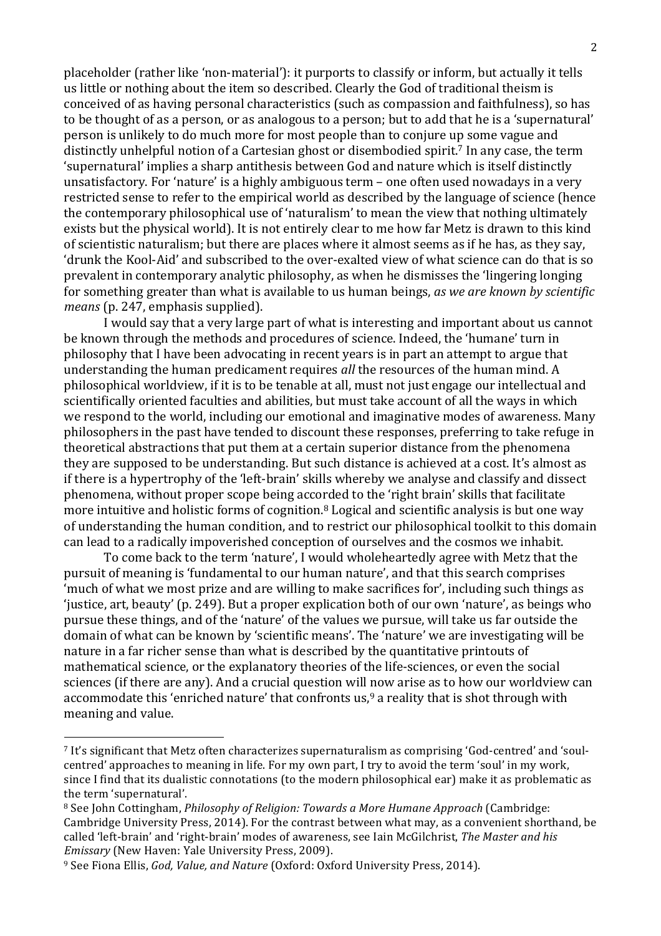placeholder (rather like 'non-material'): it purports to classify or inform, but actually it tells us little or nothing about the item so described. Clearly the God of traditional theism is conceived of as having personal characteristics (such as compassion and faithfulness), so has to be thought of as a person, or as analogous to a person; but to add that he is a 'supernatural' person is unlikely to do much more for most people than to conjure up some vague and distinctly unhelpful notion of a Cartesian ghost or disembodied spirit.<sup>7</sup> In any case, the term 'supernatural' implies a sharp antithesis between God and nature which is itself distinctly unsatisfactory. For 'nature' is a highly ambiguous term  $-$  one often used nowadays in a very restricted sense to refer to the empirical world as described by the language of science (hence the contemporary philosophical use of 'naturalism' to mean the view that nothing ultimately exists but the physical world). It is not entirely clear to me how far Metz is drawn to this kind of scientistic naturalism; but there are places where it almost seems as if he has, as they say, 'drunk the Kool-Aid' and subscribed to the over-exalted view of what science can do that is so prevalent in contemporary analytic philosophy, as when he dismisses the 'lingering longing for something greater than what is available to us human beings, *as we are known by scientific means* (p. 247, emphasis supplied).

I would say that a very large part of what is interesting and important about us cannot be known through the methods and procedures of science. Indeed, the 'humane' turn in philosophy that I have been advocating in recent years is in part an attempt to argue that understanding the human predicament requires *all* the resources of the human mind. A philosophical worldview, if it is to be tenable at all, must not just engage our intellectual and scientifically oriented faculties and abilities, but must take account of all the ways in which we respond to the world, including our emotional and imaginative modes of awareness. Many philosophers in the past have tended to discount these responses, preferring to take refuge in theoretical abstractions that put them at a certain superior distance from the phenomena they are supposed to be understanding. But such distance is achieved at a cost. It's almost as if there is a hypertrophy of the 'left-brain' skills whereby we analyse and classify and dissect phenomena, without proper scope being accorded to the 'right brain' skills that facilitate more intuitive and holistic forms of cognition.<sup>8</sup> Logical and scientific analysis is but one way of understanding the human condition, and to restrict our philosophical toolkit to this domain can lead to a radically impoverished conception of ourselves and the cosmos we inhabit.

To come back to the term 'nature', I would wholeheartedly agree with Metz that the pursuit of meaning is 'fundamental to our human nature', and that this search comprises 'much of what we most prize and are willing to make sacrifices for', including such things as 'iustice, art, beauty' (p. 249). But a proper explication both of our own 'nature', as beings who pursue these things, and of the 'nature' of the values we pursue, will take us far outside the domain of what can be known by 'scientific means'. The 'nature' we are investigating will be nature in a far richer sense than what is described by the quantitative printouts of mathematical science, or the explanatory theories of the life-sciences, or even the social sciences (if there are any). And a crucial question will now arise as to how our worldview can accommodate this 'enriched nature' that confronts us,<sup>9</sup> a reality that is shot through with meaning and value.

<sup>&</sup>lt;sup>7</sup> It's significant that Metz often characterizes supernaturalism as comprising 'God-centred' and 'soulcentred' approaches to meaning in life. For my own part, I try to avoid the term 'soul' in my work, since I find that its dualistic connotations (to the modern philosophical ear) make it as problematic as the term 'supernatural'.

<sup>8</sup> See John Cottingham, *Philosophy of Religion: Towards a More Humane Approach* (Cambridge: Cambridge University Press, 2014). For the contrast between what may, as a convenient shorthand, be called 'left-brain' and 'right-brain' modes of awareness, see Iain McGilchrist, *The Master and his Emissary* (New Haven: Yale University Press, 2009).

<sup>&</sup>lt;sup>9</sup> See Fiona Ellis, *God, Value, and Nature* (Oxford: Oxford University Press, 2014).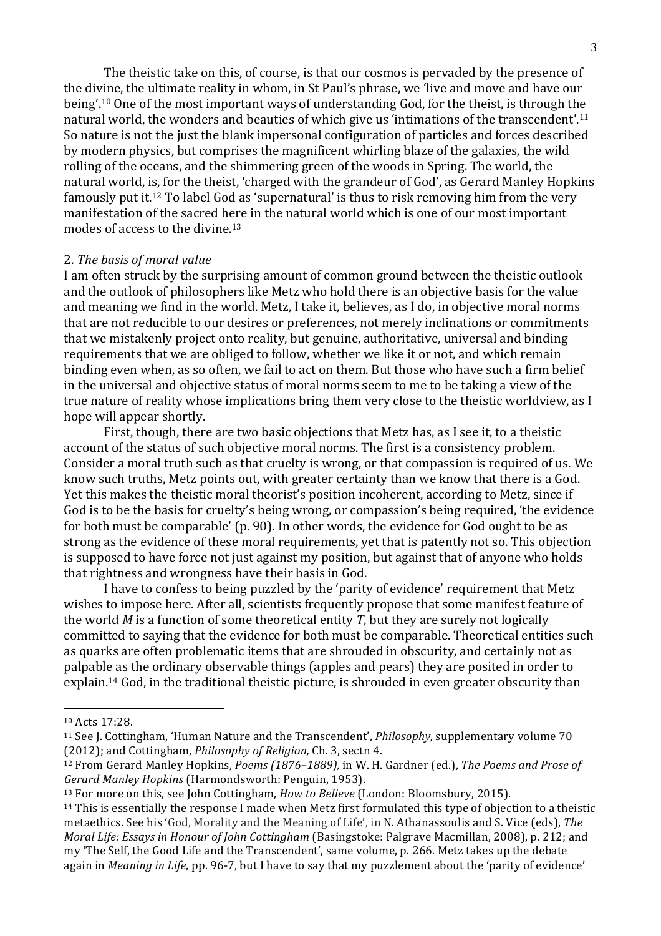The theistic take on this, of course, is that our cosmos is pervaded by the presence of the divine, the ultimate reality in whom, in St Paul's phrase, we 'live and move and have our being'.<sup>10</sup> One of the most important ways of understanding God, for the theist, is through the natural world, the wonders and beauties of which give us 'intimations of the transcendent'.<sup>11</sup> So nature is not the just the blank impersonal configuration of particles and forces described by modern physics, but comprises the magnificent whirling blaze of the galaxies, the wild rolling of the oceans, and the shimmering green of the woods in Spring. The world, the natural world, is, for the theist, 'charged with the grandeur of God', as Gerard Manley Hopkins famously put it.<sup>12</sup> To label God as 'supernatural' is thus to risk removing him from the very manifestation of the sacred here in the natural world which is one of our most important modes of access to the divine. $13$ 

#### 2. The basis of moral value

I am often struck by the surprising amount of common ground between the theistic outlook and the outlook of philosophers like Metz who hold there is an objective basis for the value and meaning we find in the world. Metz, I take it, believes, as I do, in objective moral norms that are not reducible to our desires or preferences, not merely inclinations or commitments that we mistakenly project onto reality, but genuine, authoritative, universal and binding requirements that we are obliged to follow, whether we like it or not, and which remain binding even when, as so often, we fail to act on them. But those who have such a firm belief in the universal and objective status of moral norms seem to me to be taking a view of the true nature of reality whose implications bring them very close to the theistic worldview, as I hope will appear shortly.

First, though, there are two basic objections that Metz has, as I see it, to a theistic account of the status of such objective moral norms. The first is a consistency problem. Consider a moral truth such as that cruelty is wrong, or that compassion is required of us. We know such truths, Metz points out, with greater certainty than we know that there is a God. Yet this makes the theistic moral theorist's position incoherent, according to Metz, since if God is to be the basis for cruelty's being wrong, or compassion's being required, 'the evidence for both must be comparable' (p. 90). In other words, the evidence for God ought to be as strong as the evidence of these moral requirements, yet that is patently not so. This objection is supposed to have force not just against my position, but against that of anyone who holds that rightness and wrongness have their basis in God.

I have to confess to being puzzled by the 'parity of evidence' requirement that Metz wishes to impose here. After all, scientists frequently propose that some manifest feature of the world  $M$  is a function of some theoretical entity  $T$ , but they are surely not logically committed to saying that the evidence for both must be comparable. Theoretical entities such as quarks are often problematic items that are shrouded in obscurity, and certainly not as palpable as the ordinary observable things (apples and pears) they are posited in order to explain.<sup>14</sup> God, in the traditional theistic picture, is shrouded in even greater obscurity than

<sup>10</sup> Acts 17:28.

<sup>&</sup>lt;sup>11</sup> See J. Cottingham, 'Human Nature and the Transcendent', *Philosophy*, supplementary volume 70 (2012); and Cottingham, *Philosophy of Religion*, Ch. 3, sectn 4.

<sup>&</sup>lt;sup>12</sup> From Gerard Manley Hopkins, *Poems* (1876–1889), in W. H. Gardner (ed.), *The Poems and Prose of Gerard Manley Hopkins* (Harmondsworth: Penguin, 1953).

<sup>&</sup>lt;sup>13</sup> For more on this, see John Cottingham, *How to Believe* (London: Bloomsbury, 2015).

<sup>&</sup>lt;sup>14</sup> This is essentially the response I made when Metz first formulated this type of objection to a theistic metaethics. See his 'God, Morality and the Meaning of Life', in N. Athanassoulis and S. Vice (eds), The *Moral Life: Essays in Honour of John Cottingham* (Basingstoke: Palgrave Macmillan, 2008), p. 212; and my 'The Self, the Good Life and the Transcendent', same volume, p. 266. Metz takes up the debate again in *Meaning in Life*, pp. 96-7, but I have to say that my puzzlement about the 'parity of evidence'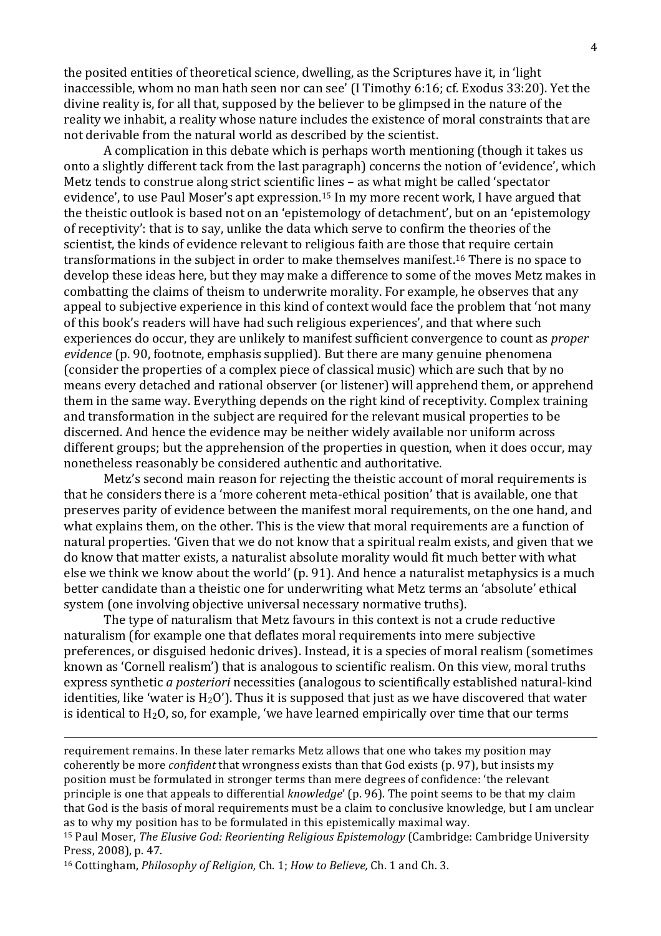the posited entities of theoretical science, dwelling, as the Scriptures have it, in 'light inaccessible, whom no man hath seen nor can see' (I Timothy 6:16; cf. Exodus 33:20). Yet the divine reality is, for all that, supposed by the believer to be glimpsed in the nature of the reality we inhabit, a reality whose nature includes the existence of moral constraints that are not derivable from the natural world as described by the scientist.

A complication in this debate which is perhaps worth mentioning (though it takes us onto a slightly different tack from the last paragraph) concerns the notion of 'evidence', which Metz tends to construe along strict scientific lines – as what might be called 'spectator evidence', to use Paul Moser's apt expression.<sup>15</sup> In my more recent work, I have argued that the theistic outlook is based not on an 'epistemology of detachment', but on an 'epistemology of receptivity': that is to say, unlike the data which serve to confirm the theories of the scientist, the kinds of evidence relevant to religious faith are those that require certain transformations in the subject in order to make themselves manifest.<sup>16</sup> There is no space to develop these ideas here, but they may make a difference to some of the moves Metz makes in combatting the claims of theism to underwrite morality. For example, he observes that any appeal to subjective experience in this kind of context would face the problem that 'not many of this book's readers will have had such religious experiences', and that where such experiences do occur, they are unlikely to manifest sufficient convergence to count as *proper evidence* (p. 90, footnote, emphasis supplied). But there are many genuine phenomena (consider the properties of a complex piece of classical music) which are such that by no means every detached and rational observer (or listener) will apprehend them, or apprehend them in the same way. Everything depends on the right kind of receptivity. Complex training and transformation in the subject are required for the relevant musical properties to be discerned. And hence the evidence may be neither widely available nor uniform across different groups; but the apprehension of the properties in question, when it does occur, may nonetheless reasonably be considered authentic and authoritative.

Metz's second main reason for rejecting the theistic account of moral requirements is that he considers there is a 'more coherent meta-ethical position' that is available, one that preserves parity of evidence between the manifest moral requirements, on the one hand, and what explains them, on the other. This is the view that moral requirements are a function of natural properties. 'Given that we do not know that a spiritual realm exists, and given that we do know that matter exists, a naturalist absolute morality would fit much better with what else we think we know about the world' (p. 91). And hence a naturalist metaphysics is a much better candidate than a theistic one for underwriting what Metz terms an 'absolute' ethical system (one involving objective universal necessary normative truths).

The type of naturalism that Metz favours in this context is not a crude reductive naturalism (for example one that deflates moral requirements into mere subjective preferences, or disguised hedonic drives). Instead, it is a species of moral realism (sometimes known as 'Cornell realism') that is analogous to scientific realism. On this view, moral truths express synthetic *a posteriori* necessities (analogous to scientifically established natural-kind identities, like 'water is  $H_2O'$ ). Thus it is supposed that just as we have discovered that water is identical to  $H_2O$ , so, for example, 'we have learned empirically over time that our terms

requirement remains. In these later remarks Metz allows that one who takes my position may coherently be more *confident* that wrongness exists than that God exists (p. 97), but insists my position must be formulated in stronger terms than mere degrees of confidence: 'the relevant principle is one that appeals to differential *knowledge'* (p. 96). The point seems to be that my claim that God is the basis of moral requirements must be a claim to conclusive knowledge, but I am unclear as to why my position has to be formulated in this epistemically maximal way.

<u> 1989 - Andrea Santa Andrea Santa Andrea Santa Andrea Santa Andrea Santa Andrea Santa Andrea Santa Andrea San</u>

<sup>15</sup> Paul Moser, *The Elusive God: Reorienting Religious Epistemology* (Cambridge: Cambridge University Press, 2008), p. 47.

<sup>16</sup> Cottingham, *Philosophy of Religion*, Ch. 1; *How to Believe*, Ch. 1 and Ch. 3.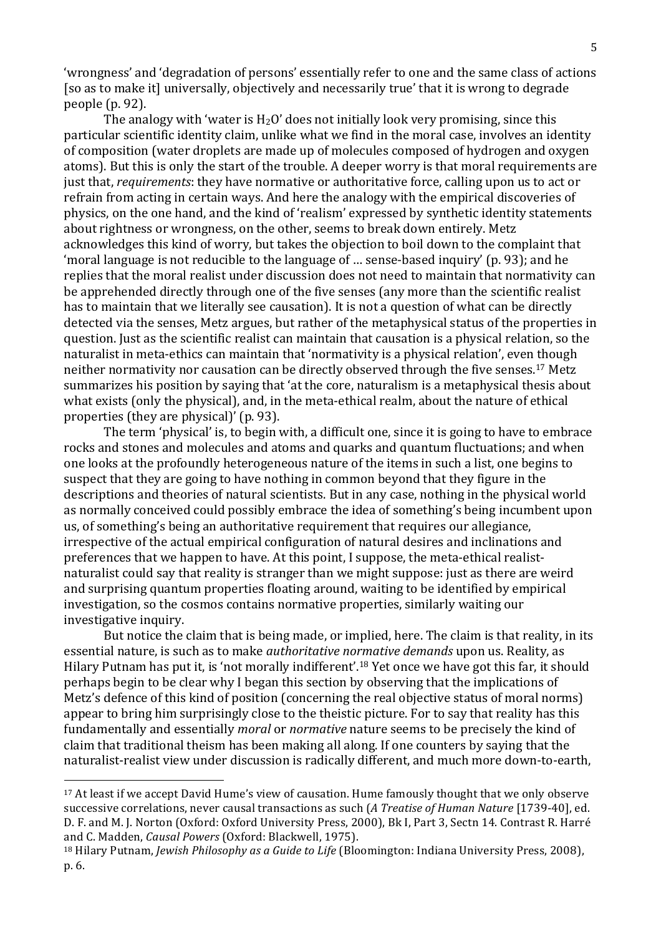'wrongness' and 'degradation of persons' essentially refer to one and the same class of actions [so as to make it] universally, objectively and necessarily true' that it is wrong to degrade people (p. 92).

The analogy with 'water is  $H_2O'$  does not initially look very promising, since this particular scientific identity claim, unlike what we find in the moral case, involves an identity of composition (water droplets are made up of molecules composed of hydrogen and oxygen atoms). But this is only the start of the trouble. A deeper worry is that moral requirements are just that, *requirements*: they have normative or authoritative force, calling upon us to act or refrain from acting in certain ways. And here the analogy with the empirical discoveries of physics, on the one hand, and the kind of 'realism' expressed by synthetic identity statements about rightness or wrongness, on the other, seems to break down entirely. Metz acknowledges this kind of worry, but takes the objection to boil down to the complaint that 'moral language is not reducible to the language of ... sense-based inquiry' (p. 93); and he replies that the moral realist under discussion does not need to maintain that normativity can be apprehended directly through one of the five senses (any more than the scientific realist has to maintain that we literally see causation). It is not a question of what can be directly detected via the senses, Metz argues, but rather of the metaphysical status of the properties in question. Just as the scientific realist can maintain that causation is a physical relation, so the naturalist in meta-ethics can maintain that 'normativity is a physical relation', even though neither normativity nor causation can be directly observed through the five senses.<sup>17</sup> Metz summarizes his position by saying that 'at the core, naturalism is a metaphysical thesis about what exists (only the physical), and, in the meta-ethical realm, about the nature of ethical properties (they are physical)' (p. 93).

The term 'physical' is, to begin with, a difficult one, since it is going to have to embrace rocks and stones and molecules and atoms and quarks and quantum fluctuations; and when one looks at the profoundly heterogeneous nature of the items in such a list, one begins to suspect that they are going to have nothing in common beyond that they figure in the descriptions and theories of natural scientists. But in any case, nothing in the physical world as normally conceived could possibly embrace the idea of something's being incumbent upon us, of something's being an authoritative requirement that requires our allegiance, irrespective of the actual empirical configuration of natural desires and inclinations and preferences that we happen to have. At this point, I suppose, the meta-ethical realistnaturalist could say that reality is stranger than we might suppose: just as there are weird and surprising quantum properties floating around, waiting to be identified by empirical investigation, so the cosmos contains normative properties, similarly waiting our investigative inquiry.

But notice the claim that is being made, or implied, here. The claim is that reality, in its essential nature, is such as to make *authoritative normative demands* upon us. Reality, as Hilary Putnam has put it, is 'not morally indifferent'.<sup>18</sup> Yet once we have got this far, it should perhaps begin to be clear why I began this section by observing that the implications of Metz's defence of this kind of position (concerning the real objective status of moral norms) appear to bring him surprisingly close to the theistic picture. For to say that reality has this fundamentally and essentially *moral* or *normative* nature seems to be precisely the kind of claim that traditional theism has been making all along. If one counters by saying that the naturalist-realist view under discussion is radically different, and much more down-to-earth,

<sup>&</sup>lt;sup>17</sup> At least if we accept David Hume's view of causation. Hume famously thought that we only observe successive correlations, never causal transactions as such (A Treatise of Human Nature [1739-40], ed. D. F. and M. J. Norton (Oxford: Oxford University Press, 2000), Bk I, Part 3, Sectn 14. Contrast R. Harré and C. Madden, *Causal Powers* (Oxford: Blackwell, 1975).

<sup>&</sup>lt;sup>18</sup> Hilary Putnam, *Jewish Philosophy as a Guide to Life* (Bloomington: Indiana University Press, 2008), p. 6.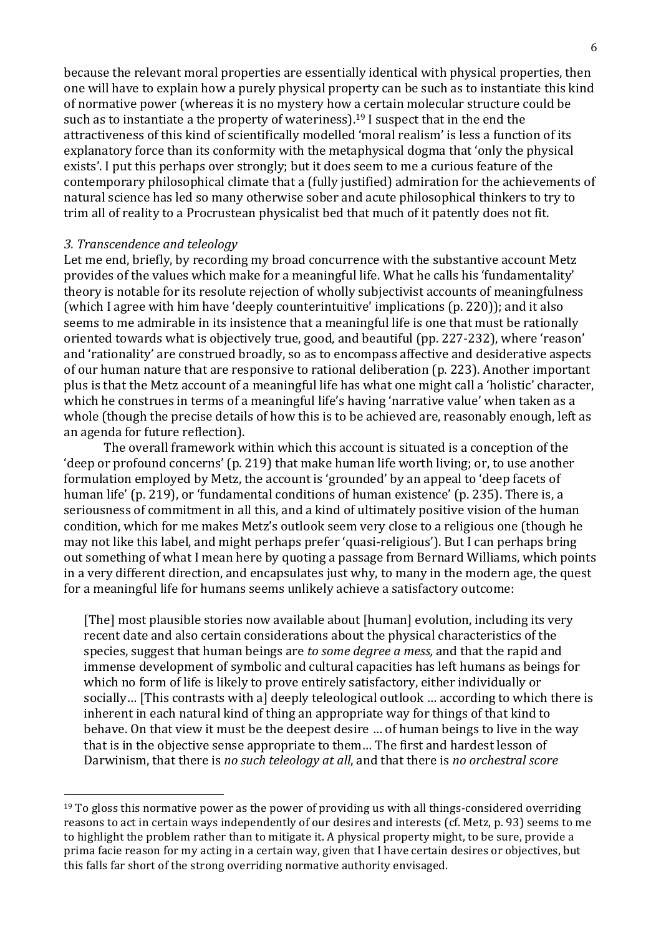because the relevant moral properties are essentially identical with physical properties, then one will have to explain how a purely physical property can be such as to instantiate this kind of normative power (whereas it is no mystery how a certain molecular structure could be such as to instantiate a the property of wateriness).<sup>19</sup> I suspect that in the end the attractiveness of this kind of scientifically modelled 'moral realism' is less a function of its explanatory force than its conformity with the metaphysical dogma that 'only the physical exists'. I put this perhaps over strongly; but it does seem to me a curious feature of the contemporary philosophical climate that a (fully justified) admiration for the achievements of natural science has led so many otherwise sober and acute philosophical thinkers to try to trim all of reality to a Procrustean physicalist bed that much of it patently does not fit.

#### *3. Transcendence and teleology*

 

Let me end, briefly, by recording my broad concurrence with the substantive account Metz provides of the values which make for a meaningful life. What he calls his 'fundamentality' theory is notable for its resolute rejection of wholly subjectivist accounts of meaningfulness (which I agree with him have 'deeply counterintuitive' implications  $(p. 220)$ ); and it also seems to me admirable in its insistence that a meaningful life is one that must be rationally oriented towards what is objectively true, good, and beautiful (pp. 227-232), where 'reason' and 'rationality' are construed broadly, so as to encompass affective and desiderative aspects of our human nature that are responsive to rational deliberation (p. 223). Another important plus is that the Metz account of a meaningful life has what one might call a 'holistic' character, which he construes in terms of a meaningful life's having 'narrative value' when taken as a whole (though the precise details of how this is to be achieved are, reasonably enough, left as an agenda for future reflection).

The overall framework within which this account is situated is a conception of the 'deep or profound concerns' (p. 219) that make human life worth living; or, to use another formulation employed by Metz, the account is 'grounded' by an appeal to 'deep facets of human life' (p. 219), or 'fundamental conditions of human existence' (p. 235). There is, a seriousness of commitment in all this, and a kind of ultimately positive vision of the human condition, which for me makes Metz's outlook seem very close to a religious one (though he may not like this label, and might perhaps prefer 'quasi-religious'). But I can perhaps bring out something of what I mean here by quoting a passage from Bernard Williams, which points in a very different direction, and encapsulates just why, to many in the modern age, the quest for a meaningful life for humans seems unlikely achieve a satisfactory outcome:

[The] most plausible stories now available about [human] evolution, including its very recent date and also certain considerations about the physical characteristics of the species, suggest that human beings are *to some degree a mess*, and that the rapid and immense development of symbolic and cultural capacities has left humans as beings for which no form of life is likely to prove entirely satisfactory, either individually or socially... [This contrasts with a] deeply teleological outlook ... according to which there is inherent in each natural kind of thing an appropriate way for things of that kind to behave. On that view it must be the deepest desire ... of human beings to live in the way that is in the objective sense appropriate to them... The first and hardest lesson of Darwinism, that there is *no such teleology at all*, and that there is *no orchestral score* 

 $19$  To gloss this normative power as the power of providing us with all things-considered overriding reasons to act in certain ways independently of our desires and interests (cf. Metz, p. 93) seems to me to highlight the problem rather than to mitigate it. A physical property might, to be sure, provide a prima facie reason for my acting in a certain way, given that I have certain desires or objectives, but this falls far short of the strong overriding normative authority envisaged.